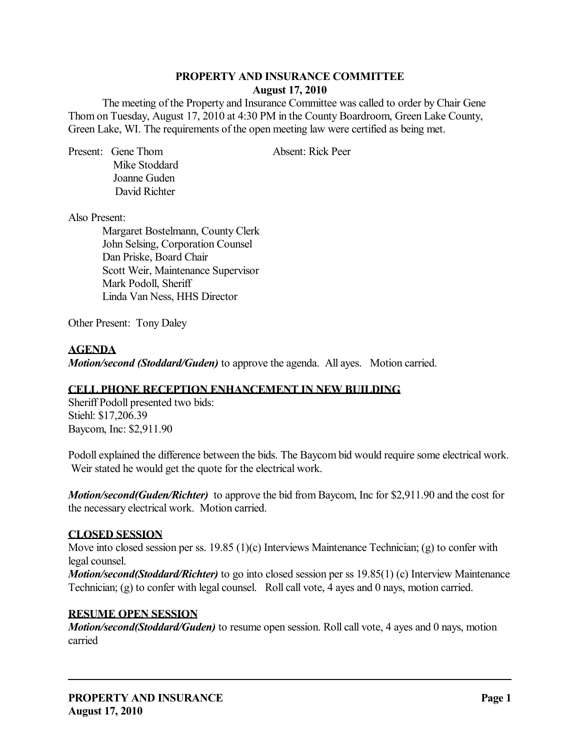## **PROPERTY AND INSURANCE COMMITTEE August 17, 2010**

The meeting of the Property and Insurance Committee was called to order by Chair Gene Thom on Tuesday, August 17, 2010 at 4:30 PM in the County Boardroom, Green Lake County, Green Lake, WI. The requirements of the open meeting law were certified as being met.

Present: Gene Thom Absent: Rick Peer Mike Stoddard Joanne Guden David Richter

Also Present:

Margaret Bostelmann, County Clerk John Selsing, Corporation Counsel Dan Priske, Board Chair Scott Weir, Maintenance Supervisor Mark Podoll, Sheriff Linda Van Ness, HHS Director

Other Present: Tony Daley

## **AGENDA**

*Motion/second (Stoddard/Guden)* to approve the agenda. All ayes. Motion carried.

## **CELL PHONE RECEPTION ENHANCEMENT IN NEW BUILDING**

Sheriff Podoll presented two bids: Stiehl: \$17,206.39 Baycom, Inc: \$2,911.90

Podoll explained the difference between the bids. The Baycom bid would require some electrical work. Weir stated he would get the quote for the electrical work.

*Motion/second(Guden/Richter)* to approve the bid from Baycom, Inc for \$2,911.90 and the cost for the necessary electrical work. Motion carried.

## **CLOSED SESSION**

Move into closed session per ss. 19.85 (1)(c) Interviews Maintenance Technician; (g) to confer with legal counsel.

*Motion/second(Stoddard/Richter)* to go into closed session per ss 19.85(1) (c) Interview Maintenance Technician; (g) to confer with legal counsel. Roll call vote, 4 ayes and 0 nays, motion carried.

## **RESUME OPEN SESSION**

*Motion/second(Stoddard/Guden)* to resume open session. Roll call vote, 4 ayes and 0 nays, motion carried